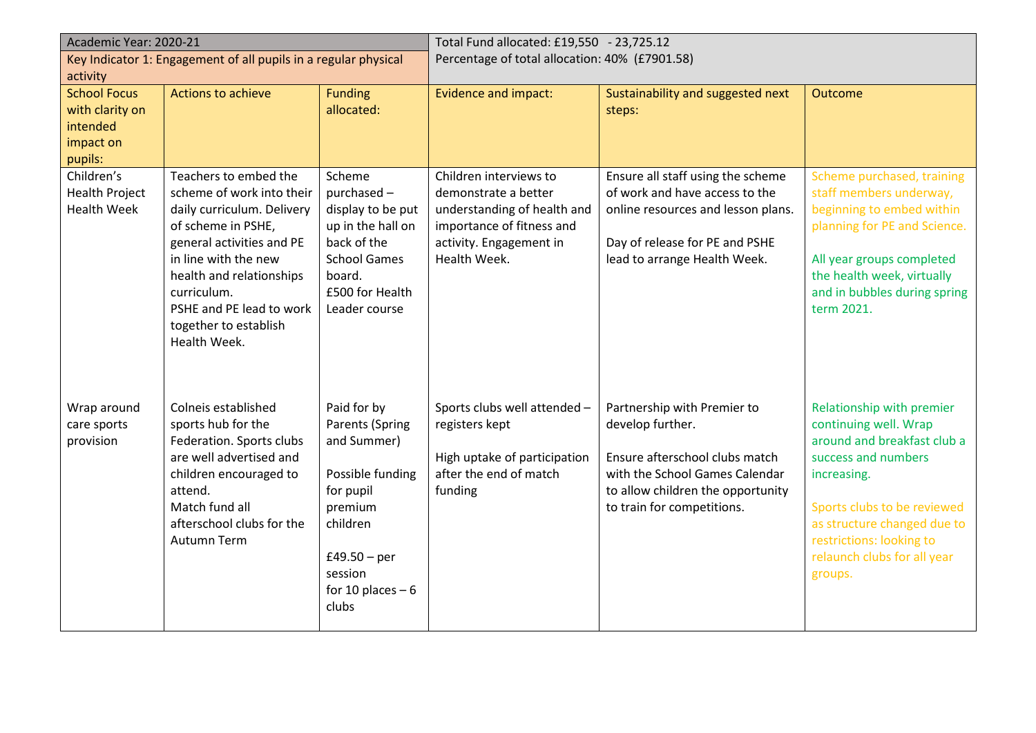| Academic Year: 2020-21                                          |                                                  | Total Fund allocated: £19,550 - 23,725.12      |                                                          |                                    |                                                           |
|-----------------------------------------------------------------|--------------------------------------------------|------------------------------------------------|----------------------------------------------------------|------------------------------------|-----------------------------------------------------------|
| Key Indicator 1: Engagement of all pupils in a regular physical |                                                  | Percentage of total allocation: 40% (£7901.58) |                                                          |                                    |                                                           |
| activity                                                        |                                                  |                                                |                                                          |                                    |                                                           |
| <b>School Focus</b>                                             | Actions to achieve                               | <b>Funding</b>                                 | <b>Evidence and impact:</b>                              | Sustainability and suggested next  | Outcome                                                   |
| with clarity on                                                 |                                                  | allocated:                                     |                                                          | steps:                             |                                                           |
| intended<br>impact on                                           |                                                  |                                                |                                                          |                                    |                                                           |
| pupils:                                                         |                                                  |                                                |                                                          |                                    |                                                           |
| Children's                                                      | Teachers to embed the                            | Scheme                                         | Children interviews to                                   | Ensure all staff using the scheme  | Scheme purchased, training                                |
| <b>Health Project</b>                                           | scheme of work into their                        | purchased -                                    | demonstrate a better                                     | of work and have access to the     | staff members underway,                                   |
| <b>Health Week</b>                                              | daily curriculum. Delivery<br>of scheme in PSHE, | display to be put<br>up in the hall on         | understanding of health and<br>importance of fitness and | online resources and lesson plans. | beginning to embed within<br>planning for PE and Science. |
|                                                                 | general activities and PE                        | back of the                                    | activity. Engagement in                                  | Day of release for PE and PSHE     |                                                           |
|                                                                 | in line with the new                             | <b>School Games</b>                            | Health Week.                                             | lead to arrange Health Week.       | All year groups completed                                 |
|                                                                 | health and relationships                         | board.                                         |                                                          |                                    | the health week, virtually                                |
|                                                                 | curriculum.                                      | £500 for Health                                |                                                          |                                    | and in bubbles during spring                              |
|                                                                 | PSHE and PE lead to work                         | Leader course                                  |                                                          |                                    | term 2021.                                                |
|                                                                 | together to establish                            |                                                |                                                          |                                    |                                                           |
|                                                                 | Health Week.                                     |                                                |                                                          |                                    |                                                           |
|                                                                 |                                                  |                                                |                                                          |                                    |                                                           |
|                                                                 |                                                  |                                                |                                                          |                                    |                                                           |
| Wrap around                                                     | Colneis established                              | Paid for by                                    | Sports clubs well attended -                             | Partnership with Premier to        | Relationship with premier<br>continuing well. Wrap        |
| care sports<br>provision                                        | sports hub for the<br>Federation. Sports clubs   | Parents (Spring<br>and Summer)                 | registers kept                                           | develop further.                   | around and breakfast club a                               |
|                                                                 | are well advertised and                          |                                                | High uptake of participation                             | Ensure afterschool clubs match     | success and numbers                                       |
|                                                                 | children encouraged to                           | Possible funding                               | after the end of match                                   | with the School Games Calendar     | increasing.                                               |
|                                                                 | attend.                                          | for pupil                                      | funding                                                  | to allow children the opportunity  |                                                           |
|                                                                 | Match fund all                                   | premium                                        |                                                          | to train for competitions.         | Sports clubs to be reviewed                               |
|                                                                 | afterschool clubs for the                        | children                                       |                                                          |                                    | as structure changed due to                               |
|                                                                 | <b>Autumn Term</b>                               |                                                |                                                          |                                    | restrictions: looking to                                  |
|                                                                 |                                                  | £49.50 $-$ per                                 |                                                          |                                    | relaunch clubs for all year                               |
|                                                                 |                                                  | session                                        |                                                          |                                    | groups.                                                   |
|                                                                 |                                                  | for 10 places $-6$                             |                                                          |                                    |                                                           |
|                                                                 |                                                  | clubs                                          |                                                          |                                    |                                                           |
|                                                                 |                                                  |                                                |                                                          |                                    |                                                           |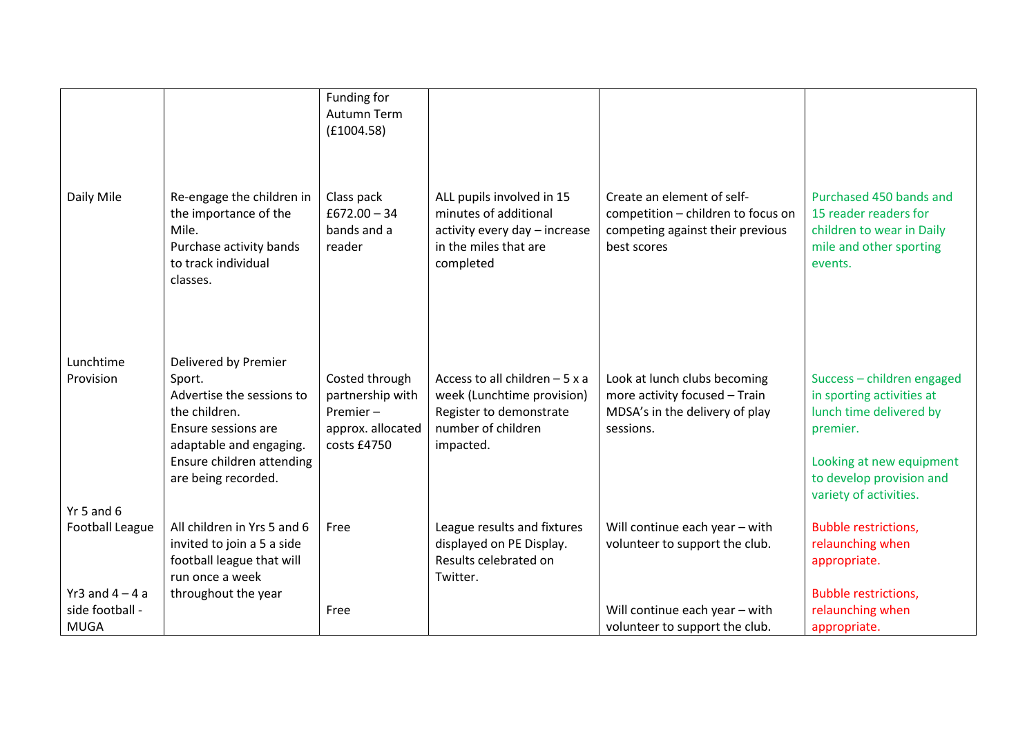|                                                     |                                                                                                                                                                                    | Funding for<br><b>Autumn Term</b><br>(E1004.58)                                    |                                                                                                                            |                                                                                                                     |                                                                                                                                                                                  |
|-----------------------------------------------------|------------------------------------------------------------------------------------------------------------------------------------------------------------------------------------|------------------------------------------------------------------------------------|----------------------------------------------------------------------------------------------------------------------------|---------------------------------------------------------------------------------------------------------------------|----------------------------------------------------------------------------------------------------------------------------------------------------------------------------------|
| Daily Mile                                          | Re-engage the children in<br>the importance of the<br>Mile.<br>Purchase activity bands<br>to track individual<br>classes.                                                          | Class pack<br>$£672.00 - 34$<br>bands and a<br>reader                              | ALL pupils involved in 15<br>minutes of additional<br>activity every day - increase<br>in the miles that are<br>completed  | Create an element of self-<br>competition - children to focus on<br>competing against their previous<br>best scores | Purchased 450 bands and<br>15 reader readers for<br>children to wear in Daily<br>mile and other sporting<br>events.                                                              |
| Lunchtime<br>Provision                              | Delivered by Premier<br>Sport.<br>Advertise the sessions to<br>the children.<br>Ensure sessions are<br>adaptable and engaging.<br>Ensure children attending<br>are being recorded. | Costed through<br>partnership with<br>Premier-<br>approx. allocated<br>costs £4750 | Access to all children $-5x$ a<br>week (Lunchtime provision)<br>Register to demonstrate<br>number of children<br>impacted. | Look at lunch clubs becoming<br>more activity focused - Train<br>MDSA's in the delivery of play<br>sessions.        | Success - children engaged<br>in sporting activities at<br>lunch time delivered by<br>premier.<br>Looking at new equipment<br>to develop provision and<br>variety of activities. |
| Yr 5 and $6$<br><b>Football League</b>              | All children in Yrs 5 and 6<br>invited to join a 5 a side<br>football league that will<br>run once a week                                                                          | Free                                                                               | League results and fixtures<br>displayed on PE Display.<br>Results celebrated on<br>Twitter.                               | Will continue each year - with<br>volunteer to support the club.                                                    | <b>Bubble restrictions,</b><br>relaunching when<br>appropriate.                                                                                                                  |
| Yr3 and $4 - 4$ a<br>side football -<br><b>MUGA</b> | throughout the year                                                                                                                                                                | Free                                                                               |                                                                                                                            | Will continue each year - with<br>volunteer to support the club.                                                    | <b>Bubble restrictions,</b><br>relaunching when<br>appropriate.                                                                                                                  |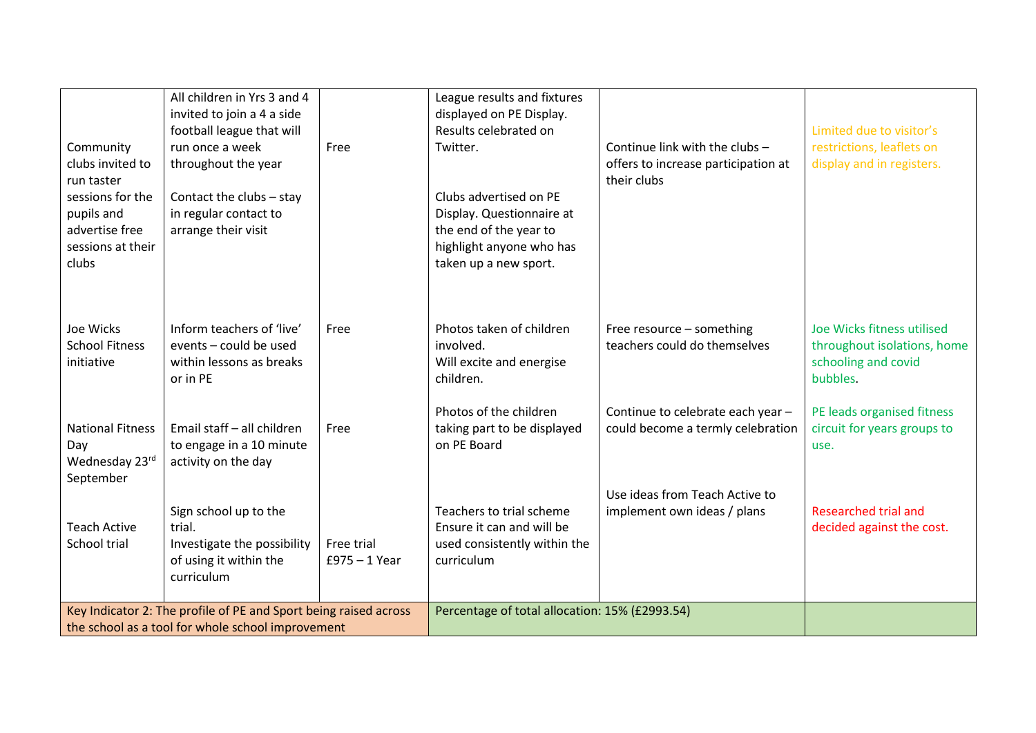| Community<br>clubs invited to<br>run taster<br>sessions for the<br>pupils and<br>advertise free<br>sessions at their<br>clubs | All children in Yrs 3 and 4<br>invited to join a 4 a side<br>football league that will<br>run once a week<br>throughout the year<br>Contact the clubs - stay<br>in regular contact to<br>arrange their visit | Free                                           | League results and fixtures<br>displayed on PE Display.<br>Results celebrated on<br>Twitter.<br>Clubs advertised on PE<br>Display. Questionnaire at<br>the end of the year to<br>highlight anyone who has<br>taken up a new sport. | Continue link with the clubs -<br>offers to increase participation at<br>their clubs | Limited due to visitor's<br>restrictions, leaflets on<br>display and in registers.           |
|-------------------------------------------------------------------------------------------------------------------------------|--------------------------------------------------------------------------------------------------------------------------------------------------------------------------------------------------------------|------------------------------------------------|------------------------------------------------------------------------------------------------------------------------------------------------------------------------------------------------------------------------------------|--------------------------------------------------------------------------------------|----------------------------------------------------------------------------------------------|
| Joe Wicks<br><b>School Fitness</b><br>initiative                                                                              | Inform teachers of 'live'<br>events - could be used<br>within lessons as breaks<br>or in PE                                                                                                                  | Free                                           | Photos taken of children<br>involved.<br>Will excite and energise<br>children.                                                                                                                                                     | Free resource - something<br>teachers could do themselves                            | Joe Wicks fitness utilised<br>throughout isolations, home<br>schooling and covid<br>bubbles. |
| <b>National Fitness</b><br>Day<br>Wednesday 23rd<br>September                                                                 | Email staff - all children<br>to engage in a 10 minute<br>activity on the day                                                                                                                                | Free                                           | Photos of the children<br>taking part to be displayed<br>on PE Board                                                                                                                                                               | Continue to celebrate each year -<br>could become a termly celebration               | PE leads organised fitness<br>circuit for years groups to<br>use.                            |
| <b>Teach Active</b><br>School trial                                                                                           | Sign school up to the<br>trial.<br>Investigate the possibility<br>of using it within the<br>curriculum                                                                                                       | Free trial<br>$£975 - 1$ Year                  | Teachers to trial scheme<br>Ensure it can and will be<br>used consistently within the<br>curriculum                                                                                                                                | Use ideas from Teach Active to<br>implement own ideas / plans                        | Researched trial and<br>decided against the cost.                                            |
| Key Indicator 2: The profile of PE and Sport being raised across<br>the school as a tool for whole school improvement         |                                                                                                                                                                                                              | Percentage of total allocation: 15% (£2993.54) |                                                                                                                                                                                                                                    |                                                                                      |                                                                                              |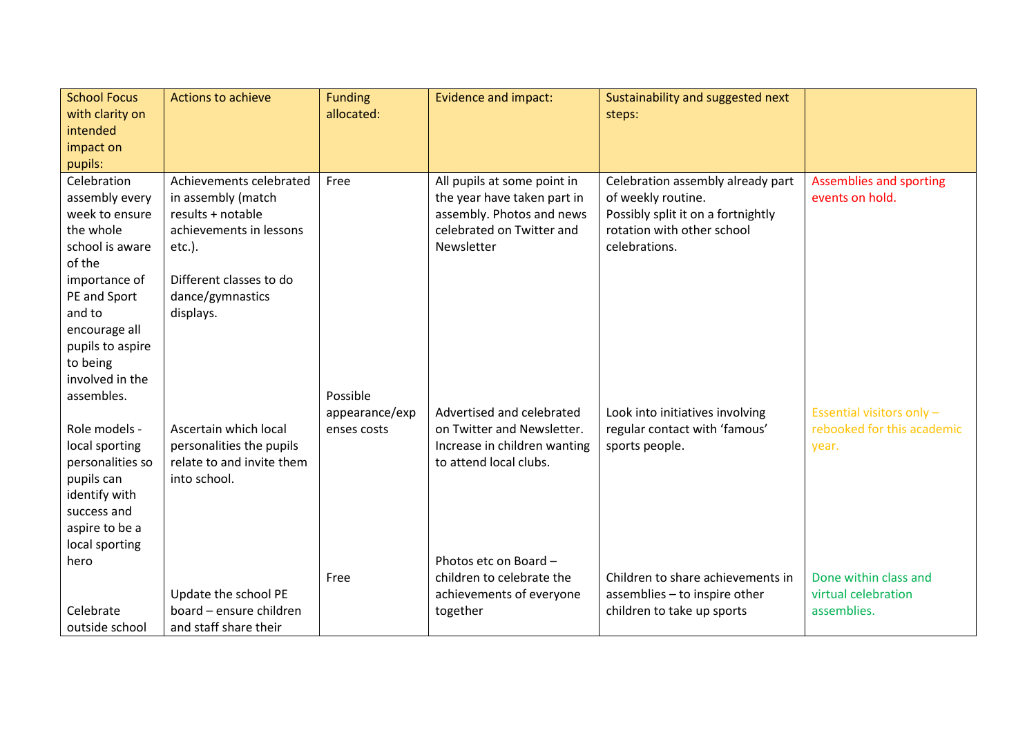| <b>School Focus</b>                                                                                                                   | <b>Actions to achieve</b>                                                                                  | <b>Funding</b> | <b>Evidence and impact:</b>                                                                                                        | Sustainability and suggested next                                                                                                            |                                            |
|---------------------------------------------------------------------------------------------------------------------------------------|------------------------------------------------------------------------------------------------------------|----------------|------------------------------------------------------------------------------------------------------------------------------------|----------------------------------------------------------------------------------------------------------------------------------------------|--------------------------------------------|
| with clarity on                                                                                                                       |                                                                                                            | allocated:     |                                                                                                                                    | steps:                                                                                                                                       |                                            |
| intended                                                                                                                              |                                                                                                            |                |                                                                                                                                    |                                                                                                                                              |                                            |
| impact on                                                                                                                             |                                                                                                            |                |                                                                                                                                    |                                                                                                                                              |                                            |
| pupils:                                                                                                                               |                                                                                                            |                |                                                                                                                                    |                                                                                                                                              |                                            |
| Celebration<br>assembly every<br>week to ensure<br>the whole<br>school is aware                                                       | Achievements celebrated<br>in assembly (match<br>results + notable<br>achievements in lessons<br>$etc.$ ). | Free           | All pupils at some point in<br>the year have taken part in<br>assembly. Photos and news<br>celebrated on Twitter and<br>Newsletter | Celebration assembly already part<br>of weekly routine.<br>Possibly split it on a fortnightly<br>rotation with other school<br>celebrations. | Assemblies and sporting<br>events on hold. |
| of the                                                                                                                                |                                                                                                            |                |                                                                                                                                    |                                                                                                                                              |                                            |
| importance of<br>PE and Sport<br>and to<br>encourage all<br>pupils to aspire<br>to being<br>involved in the                           | Different classes to do<br>dance/gymnastics<br>displays.                                                   |                |                                                                                                                                    |                                                                                                                                              |                                            |
| assembles.                                                                                                                            |                                                                                                            | Possible       |                                                                                                                                    |                                                                                                                                              |                                            |
|                                                                                                                                       |                                                                                                            | appearance/exp | Advertised and celebrated                                                                                                          | Look into initiatives involving                                                                                                              | Essential visitors only -                  |
| Role models -<br>local sporting<br>personalities so<br>pupils can<br>identify with<br>success and<br>aspire to be a<br>local sporting | Ascertain which local<br>personalities the pupils<br>relate to and invite them<br>into school.             | enses costs    | on Twitter and Newsletter.<br>Increase in children wanting<br>to attend local clubs.                                               | regular contact with 'famous'<br>sports people.                                                                                              | rebooked for this academic<br>year.        |
| hero                                                                                                                                  |                                                                                                            |                | Photos etc on Board -                                                                                                              |                                                                                                                                              |                                            |
|                                                                                                                                       |                                                                                                            | Free           | children to celebrate the                                                                                                          | Children to share achievements in                                                                                                            | Done within class and                      |
|                                                                                                                                       | Update the school PE                                                                                       |                | achievements of everyone                                                                                                           | assemblies - to inspire other                                                                                                                | virtual celebration                        |
| Celebrate                                                                                                                             | board - ensure children                                                                                    |                | together                                                                                                                           | children to take up sports                                                                                                                   | assemblies.                                |
| outside school                                                                                                                        | and staff share their                                                                                      |                |                                                                                                                                    |                                                                                                                                              |                                            |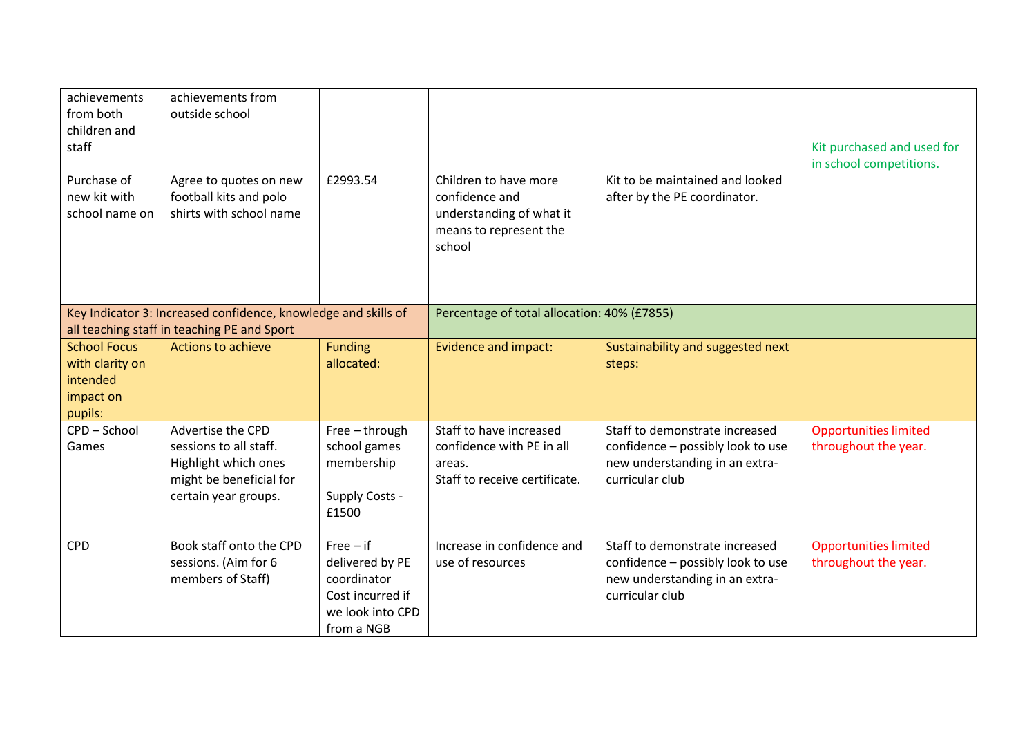| achievements<br>from both<br>children and<br>staff                         | achievements from<br>outside school                                                                                    |                                                                                                     |                                                                                                         |                                                                                                                          | Kit purchased and used for<br>in school competitions. |
|----------------------------------------------------------------------------|------------------------------------------------------------------------------------------------------------------------|-----------------------------------------------------------------------------------------------------|---------------------------------------------------------------------------------------------------------|--------------------------------------------------------------------------------------------------------------------------|-------------------------------------------------------|
| Purchase of<br>new kit with<br>school name on                              | Agree to quotes on new<br>football kits and polo<br>shirts with school name                                            | £2993.54                                                                                            | Children to have more<br>confidence and<br>understanding of what it<br>means to represent the<br>school | Kit to be maintained and looked<br>after by the PE coordinator.                                                          |                                                       |
|                                                                            | Key Indicator 3: Increased confidence, knowledge and skills of<br>all teaching staff in teaching PE and Sport          |                                                                                                     | Percentage of total allocation: 40% (£7855)                                                             |                                                                                                                          |                                                       |
| <b>School Focus</b><br>with clarity on<br>intended<br>impact on<br>pupils: | Actions to achieve                                                                                                     | <b>Funding</b><br>allocated:                                                                        | <b>Evidence and impact:</b>                                                                             | Sustainability and suggested next<br>steps:                                                                              |                                                       |
| CPD-School<br>Games                                                        | Advertise the CPD<br>sessions to all staff.<br>Highlight which ones<br>might be beneficial for<br>certain year groups. | Free - through<br>school games<br>membership<br>Supply Costs -<br>£1500                             | Staff to have increased<br>confidence with PE in all<br>areas.<br>Staff to receive certificate.         | Staff to demonstrate increased<br>confidence - possibly look to use<br>new understanding in an extra-<br>curricular club | <b>Opportunities limited</b><br>throughout the year.  |
| <b>CPD</b>                                                                 | Book staff onto the CPD<br>sessions. (Aim for 6<br>members of Staff)                                                   | $Free - if$<br>delivered by PE<br>coordinator<br>Cost incurred if<br>we look into CPD<br>from a NGB | Increase in confidence and<br>use of resources                                                          | Staff to demonstrate increased<br>confidence - possibly look to use<br>new understanding in an extra-<br>curricular club | <b>Opportunities limited</b><br>throughout the year.  |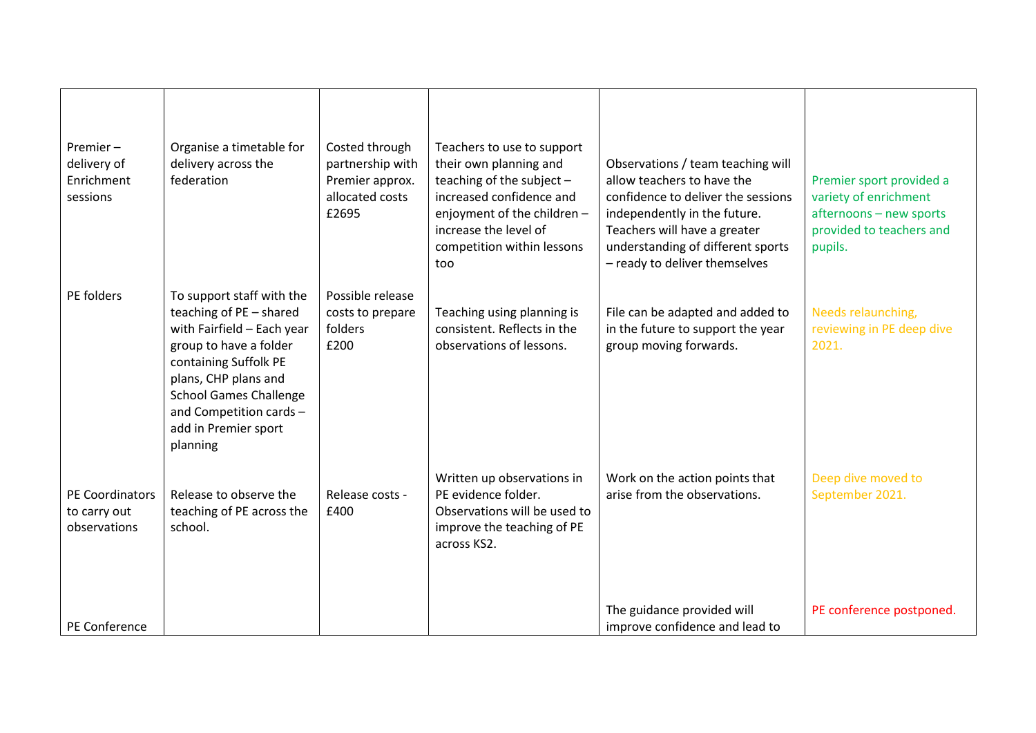| Premier-<br>delivery of<br>Enrichment<br>sessions | Organise a timetable for<br>delivery across the<br>federation                                                                                                                                                                                                 | Costed through<br>partnership with<br>Premier approx.<br>allocated costs<br>£2695 | Teachers to use to support<br>their own planning and<br>teaching of the subject $-$<br>increased confidence and<br>enjoyment of the children -<br>increase the level of<br>competition within lessons<br>too | Observations / team teaching will<br>allow teachers to have the<br>confidence to deliver the sessions<br>independently in the future.<br>Teachers will have a greater<br>understanding of different sports<br>- ready to deliver themselves | Premier sport provided a<br>variety of enrichment<br>afternoons - new sports<br>provided to teachers and<br>pupils. |
|---------------------------------------------------|---------------------------------------------------------------------------------------------------------------------------------------------------------------------------------------------------------------------------------------------------------------|-----------------------------------------------------------------------------------|--------------------------------------------------------------------------------------------------------------------------------------------------------------------------------------------------------------|---------------------------------------------------------------------------------------------------------------------------------------------------------------------------------------------------------------------------------------------|---------------------------------------------------------------------------------------------------------------------|
| PE folders                                        | To support staff with the<br>teaching of PE - shared<br>with Fairfield - Each year<br>group to have a folder<br>containing Suffolk PE<br>plans, CHP plans and<br><b>School Games Challenge</b><br>and Competition cards -<br>add in Premier sport<br>planning | Possible release<br>costs to prepare<br>folders<br>£200                           | Teaching using planning is<br>consistent. Reflects in the<br>observations of lessons.                                                                                                                        | File can be adapted and added to<br>in the future to support the year<br>group moving forwards.                                                                                                                                             | Needs relaunching,<br>reviewing in PE deep dive<br>2021.                                                            |
| PE Coordinators<br>to carry out<br>observations   | Release to observe the<br>teaching of PE across the<br>school.                                                                                                                                                                                                | Release costs -<br>£400                                                           | Written up observations in<br>PE evidence folder.<br>Observations will be used to<br>improve the teaching of PE<br>across KS2.                                                                               | Work on the action points that<br>arise from the observations.                                                                                                                                                                              | Deep dive moved to<br>September 2021.                                                                               |
| PE Conference                                     |                                                                                                                                                                                                                                                               |                                                                                   |                                                                                                                                                                                                              | The guidance provided will<br>improve confidence and lead to                                                                                                                                                                                | PE conference postponed.                                                                                            |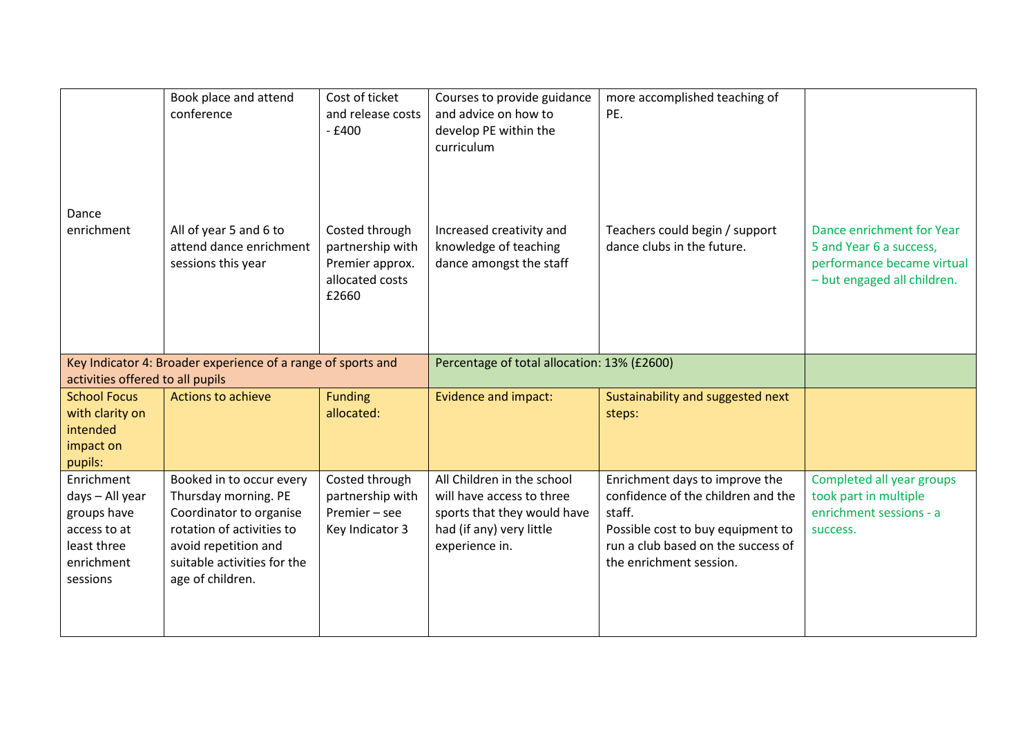|                                                                                                       | Book place and attend<br>conference                                                                                                                                                 | Cost of ticket<br>and release costs<br>$-£400$                                    | Courses to provide guidance<br>and advice on how to<br>develop PE within the<br>curriculum                                           | more accomplished teaching of<br>PE.                                                                                                                                                 |                                                                                                                   |
|-------------------------------------------------------------------------------------------------------|-------------------------------------------------------------------------------------------------------------------------------------------------------------------------------------|-----------------------------------------------------------------------------------|--------------------------------------------------------------------------------------------------------------------------------------|--------------------------------------------------------------------------------------------------------------------------------------------------------------------------------------|-------------------------------------------------------------------------------------------------------------------|
| Dance<br>enrichment                                                                                   | All of year 5 and 6 to<br>attend dance enrichment<br>sessions this year                                                                                                             | Costed through<br>partnership with<br>Premier approx.<br>allocated costs<br>£2660 | Increased creativity and<br>knowledge of teaching<br>dance amongst the staff                                                         | Teachers could begin / support<br>dance clubs in the future.                                                                                                                         | Dance enrichment for Year<br>5 and Year 6 a success,<br>performance became virtual<br>- but engaged all children. |
| activities offered to all pupils                                                                      | Key Indicator 4: Broader experience of a range of sports and                                                                                                                        |                                                                                   | Percentage of total allocation: 13% (£2600)                                                                                          |                                                                                                                                                                                      |                                                                                                                   |
| <b>School Focus</b><br>with clarity on<br>intended<br>impact on<br>pupils:                            | Actions to achieve                                                                                                                                                                  | <b>Funding</b><br>allocated:                                                      | <b>Evidence and impact:</b>                                                                                                          | Sustainability and suggested next<br>steps:                                                                                                                                          |                                                                                                                   |
| Enrichment<br>days - All year<br>groups have<br>access to at<br>least three<br>enrichment<br>sessions | Booked in to occur every<br>Thursday morning. PE<br>Coordinator to organise<br>rotation of activities to<br>avoid repetition and<br>suitable activities for the<br>age of children. | Costed through<br>partnership with<br>Premier - see<br>Key Indicator 3            | All Children in the school<br>will have access to three<br>sports that they would have<br>had (if any) very little<br>experience in. | Enrichment days to improve the<br>confidence of the children and the<br>staff.<br>Possible cost to buy equipment to<br>run a club based on the success of<br>the enrichment session. | Completed all year groups<br>took part in multiple<br>enrichment sessions - a<br>success.                         |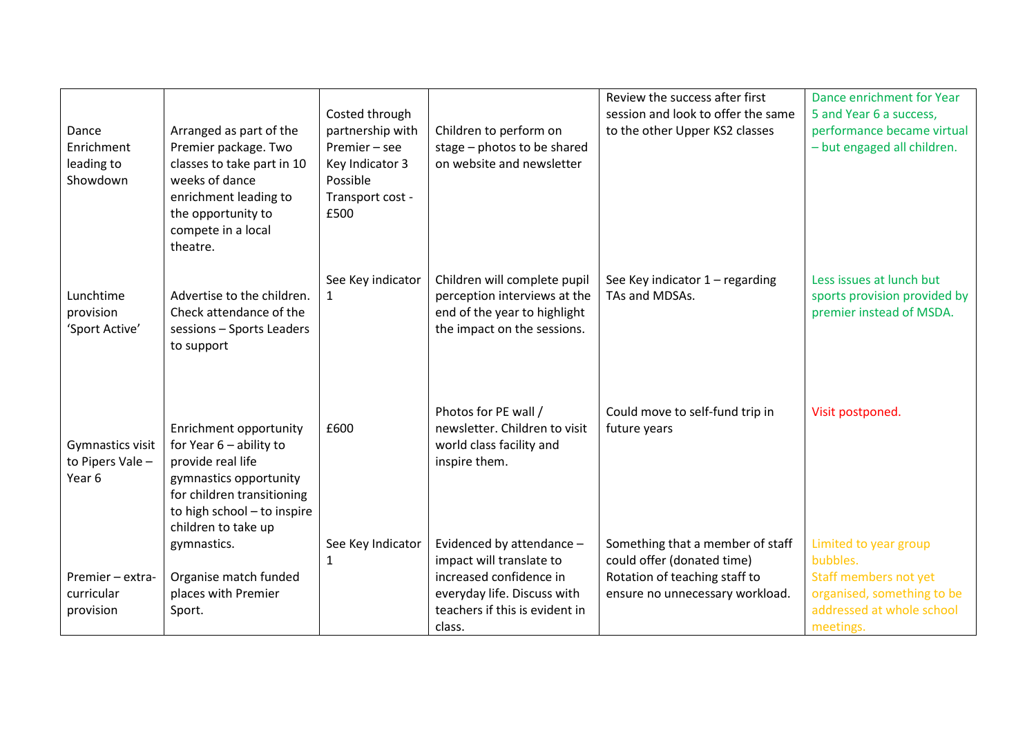| Dance<br>Enrichment<br>leading to<br>Showdown  | Arranged as part of the<br>Premier package. Two<br>classes to take part in 10<br>weeks of dance<br>enrichment leading to<br>the opportunity to<br>compete in a local<br>theatre.       | Costed through<br>partnership with<br>Premier - see<br>Key Indicator 3<br>Possible<br>Transport cost -<br>£500 | Children to perform on<br>stage - photos to be shared<br>on website and newsletter                                          | Review the success after first<br>session and look to offer the same<br>to the other Upper KS2 classes | Dance enrichment for Year<br>5 and Year 6 a success,<br>performance became virtual<br>- but engaged all children. |
|------------------------------------------------|----------------------------------------------------------------------------------------------------------------------------------------------------------------------------------------|----------------------------------------------------------------------------------------------------------------|-----------------------------------------------------------------------------------------------------------------------------|--------------------------------------------------------------------------------------------------------|-------------------------------------------------------------------------------------------------------------------|
| Lunchtime<br>provision<br>'Sport Active'       | Advertise to the children.<br>Check attendance of the<br>sessions - Sports Leaders<br>to support                                                                                       | See Key indicator                                                                                              | Children will complete pupil<br>perception interviews at the<br>end of the year to highlight<br>the impact on the sessions. | See Key indicator 1 - regarding<br>TAs and MDSAs.                                                      | Less issues at lunch but<br>sports provision provided by<br>premier instead of MSDA.                              |
| Gymnastics visit<br>to Pipers Vale -<br>Year 6 | Enrichment opportunity<br>for Year $6$ – ability to<br>provide real life<br>gymnastics opportunity<br>for children transitioning<br>to high school - to inspire<br>children to take up | £600                                                                                                           | Photos for PE wall /<br>newsletter. Children to visit<br>world class facility and<br>inspire them.                          | Could move to self-fund trip in<br>future years                                                        | Visit postponed.                                                                                                  |
|                                                | gymnastics.                                                                                                                                                                            | See Key Indicator                                                                                              | Evidenced by attendance -                                                                                                   | Something that a member of staff                                                                       | Limited to year group                                                                                             |
| Premier - extra-                               | Organise match funded                                                                                                                                                                  | 1                                                                                                              | impact will translate to<br>increased confidence in                                                                         | could offer (donated time)<br>Rotation of teaching staff to                                            | bubbles.<br>Staff members not yet                                                                                 |
| curricular                                     | places with Premier                                                                                                                                                                    |                                                                                                                | everyday life. Discuss with                                                                                                 | ensure no unnecessary workload.                                                                        | organised, something to be                                                                                        |
| provision                                      | Sport.                                                                                                                                                                                 |                                                                                                                | teachers if this is evident in                                                                                              |                                                                                                        | addressed at whole school                                                                                         |
|                                                |                                                                                                                                                                                        |                                                                                                                | class.                                                                                                                      |                                                                                                        | meetings.                                                                                                         |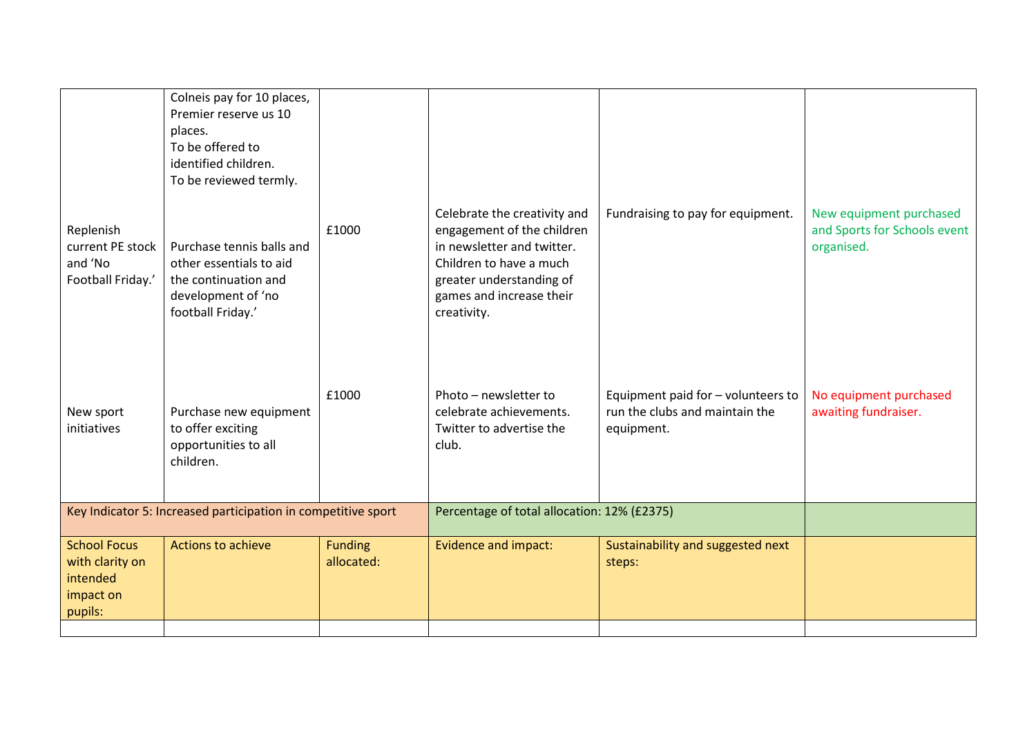|                                                                            | Colneis pay for 10 places,<br>Premier reserve us 10<br>places.<br>To be offered to<br>identified children.<br>To be reviewed termly. |                                             |                                                                                                                                                                                            |                                                                                    |                                                                       |
|----------------------------------------------------------------------------|--------------------------------------------------------------------------------------------------------------------------------------|---------------------------------------------|--------------------------------------------------------------------------------------------------------------------------------------------------------------------------------------------|------------------------------------------------------------------------------------|-----------------------------------------------------------------------|
| Replenish<br>current PE stock<br>and 'No<br>Football Friday.'              | Purchase tennis balls and<br>other essentials to aid<br>the continuation and<br>development of 'no<br>football Friday.'              | £1000                                       | Celebrate the creativity and<br>engagement of the children<br>in newsletter and twitter.<br>Children to have a much<br>greater understanding of<br>games and increase their<br>creativity. | Fundraising to pay for equipment.                                                  | New equipment purchased<br>and Sports for Schools event<br>organised. |
| New sport<br>initiatives                                                   | Purchase new equipment<br>to offer exciting<br>opportunities to all<br>children.                                                     | £1000                                       | Photo - newsletter to<br>celebrate achievements.<br>Twitter to advertise the<br>club.                                                                                                      | Equipment paid for - volunteers to<br>run the clubs and maintain the<br>equipment. | No equipment purchased<br>awaiting fundraiser.                        |
| Key Indicator 5: Increased participation in competitive sport              |                                                                                                                                      | Percentage of total allocation: 12% (£2375) |                                                                                                                                                                                            |                                                                                    |                                                                       |
| <b>School Focus</b><br>with clarity on<br>intended<br>impact on<br>pupils: | Actions to achieve                                                                                                                   | <b>Funding</b><br>allocated:                | <b>Evidence and impact:</b>                                                                                                                                                                | Sustainability and suggested next<br>steps:                                        |                                                                       |
|                                                                            |                                                                                                                                      |                                             |                                                                                                                                                                                            |                                                                                    |                                                                       |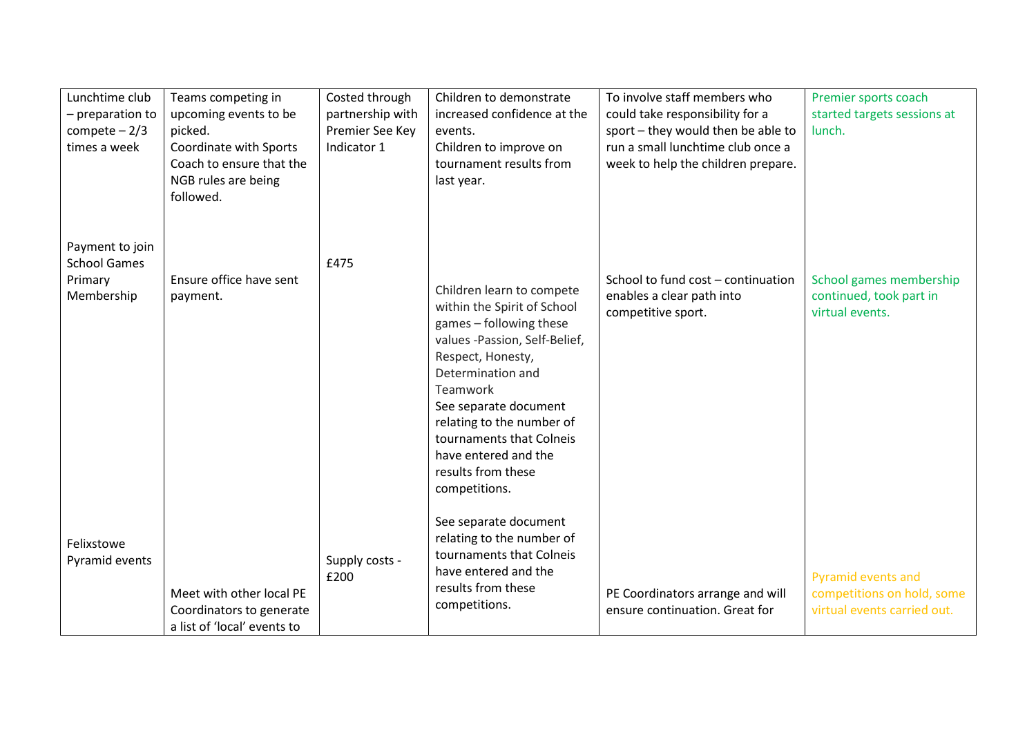| Lunchtime club<br>- preparation to<br>compete $-2/3$<br>times a week | Teams competing in<br>upcoming events to be<br>picked.<br>Coordinate with Sports<br>Coach to ensure that the<br>NGB rules are being<br>followed. | Costed through<br>partnership with<br>Premier See Key<br>Indicator 1 | Children to demonstrate<br>increased confidence at the<br>events.<br>Children to improve on<br>tournament results from<br>last year.                                                                                                                                                                                               | To involve staff members who<br>could take responsibility for a<br>sport - they would then be able to<br>run a small lunchtime club once a<br>week to help the children prepare. | Premier sports coach<br>started targets sessions at<br>lunch.                          |
|----------------------------------------------------------------------|--------------------------------------------------------------------------------------------------------------------------------------------------|----------------------------------------------------------------------|------------------------------------------------------------------------------------------------------------------------------------------------------------------------------------------------------------------------------------------------------------------------------------------------------------------------------------|----------------------------------------------------------------------------------------------------------------------------------------------------------------------------------|----------------------------------------------------------------------------------------|
| Payment to join<br><b>School Games</b><br>Primary<br>Membership      | Ensure office have sent<br>payment.                                                                                                              | £475                                                                 | Children learn to compete<br>within the Spirit of School<br>games - following these<br>values -Passion, Self-Belief,<br>Respect, Honesty,<br>Determination and<br><b>Teamwork</b><br>See separate document<br>relating to the number of<br>tournaments that Colneis<br>have entered and the<br>results from these<br>competitions. | School to fund cost - continuation<br>enables a clear path into<br>competitive sport.                                                                                            | School games membership<br>continued, took part in<br>virtual events.                  |
| Felixstowe<br>Pyramid events                                         | Meet with other local PE<br>Coordinators to generate<br>a list of 'local' events to                                                              | Supply costs -<br>£200                                               | See separate document<br>relating to the number of<br>tournaments that Colneis<br>have entered and the<br>results from these<br>competitions.                                                                                                                                                                                      | PE Coordinators arrange and will<br>ensure continuation. Great for                                                                                                               | <b>Pyramid events and</b><br>competitions on hold, some<br>virtual events carried out. |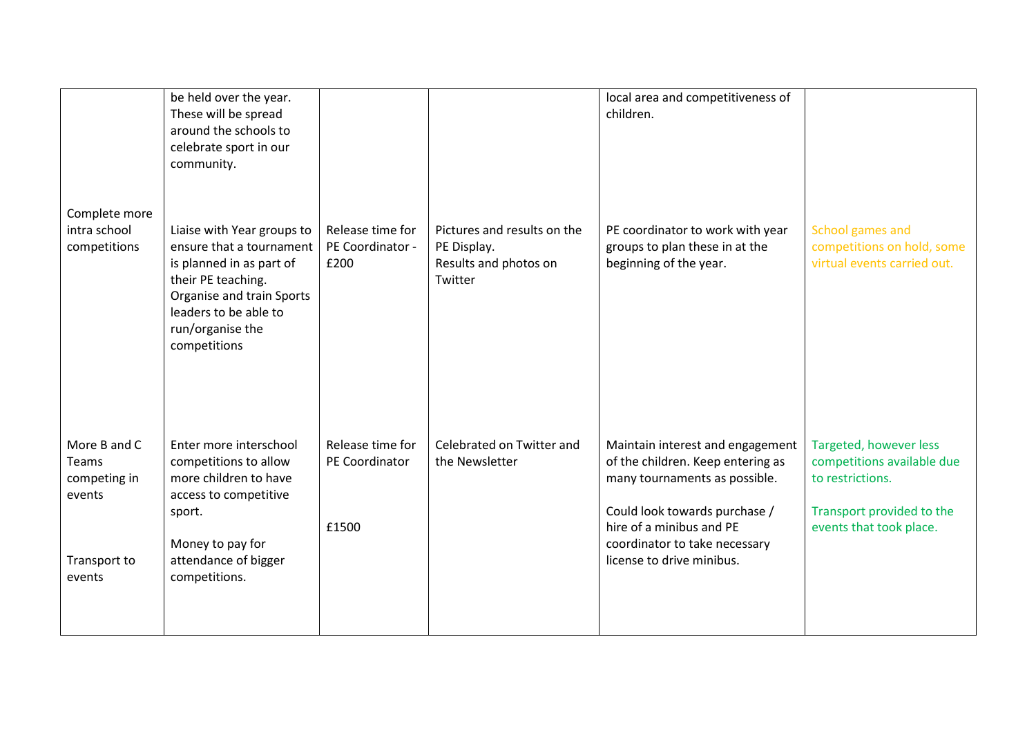| Complete more<br>intra school                   | be held over the year.<br>These will be spread<br>around the schools to<br>celebrate sport in our<br>community.<br>Liaise with Year groups to                        | Release time for                            | Pictures and results on the                     | local area and competitiveness of<br>children.<br>PE coordinator to work with year                                                                                                                   | School games and                                                                                                                 |
|-------------------------------------------------|----------------------------------------------------------------------------------------------------------------------------------------------------------------------|---------------------------------------------|-------------------------------------------------|------------------------------------------------------------------------------------------------------------------------------------------------------------------------------------------------------|----------------------------------------------------------------------------------------------------------------------------------|
| competitions                                    | ensure that a tournament<br>is planned in as part of<br>their PE teaching.<br>Organise and train Sports<br>leaders to be able to<br>run/organise the<br>competitions | PE Coordinator -<br>£200                    | PE Display.<br>Results and photos on<br>Twitter | groups to plan these in at the<br>beginning of the year.                                                                                                                                             | competitions on hold, some<br>virtual events carried out.                                                                        |
| More B and C<br>Teams<br>competing in<br>events | Enter more interschool<br>competitions to allow<br>more children to have<br>access to competitive<br>sport.<br>Money to pay for                                      | Release time for<br>PE Coordinator<br>£1500 | Celebrated on Twitter and<br>the Newsletter     | Maintain interest and engagement<br>of the children. Keep entering as<br>many tournaments as possible.<br>Could look towards purchase /<br>hire of a minibus and PE<br>coordinator to take necessary | Targeted, however less<br>competitions available due<br>to restrictions.<br>Transport provided to the<br>events that took place. |
| Transport to<br>events                          | attendance of bigger<br>competitions.                                                                                                                                |                                             |                                                 | license to drive minibus.                                                                                                                                                                            |                                                                                                                                  |